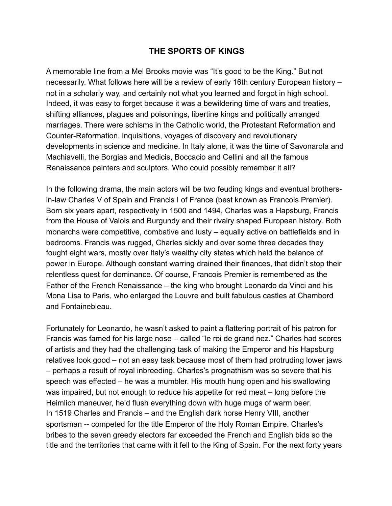## **THE SPORTS OF KINGS**

A memorable line from a Mel Brooks movie was "It's good to be the King." But not necessarily. What follows here will be a review of early 16th century European history – not in a scholarly way, and certainly not what you learned and forgot in high school. Indeed, it was easy to forget because it was a bewildering time of wars and treaties, shifting alliances, plagues and poisonings, libertine kings and politically arranged marriages. There were schisms in the Catholic world, the Protestant Reformation and Counter-Reformation, inquisitions, voyages of discovery and revolutionary developments in science and medicine. In Italy alone, it was the time of Savonarola and Machiavelli, the Borgias and Medicis, Boccacio and Cellini and all the famous Renaissance painters and sculptors. Who could possibly remember it all?

In the following drama, the main actors will be two feuding kings and eventual brothersin-law Charles V of Spain and Francis I of France (best known as Francois Premier). Born six years apart, respectively in 1500 and 1494, Charles was a Hapsburg, Francis from the House of Valois and Burgundy and their rivalry shaped European history. Both monarchs were competitive, combative and lusty – equally active on battlefields and in bedrooms. Francis was rugged, Charles sickly and over some three decades they fought eight wars, mostly over Italy's wealthy city states which held the balance of power in Europe. Although constant warring drained their finances, that didn't stop their relentless quest for dominance. Of course, Francois Premier is remembered as the Father of the French Renaissance – the king who brought Leonardo da Vinci and his Mona Lisa to Paris, who enlarged the Louvre and built fabulous castles at Chambord and Fontainebleau.

Fortunately for Leonardo, he wasn't asked to paint a flattering portrait of his patron for Francis was famed for his large nose – called "le roi de grand nez." Charles had scores of artists and they had the challenging task of making the Emperor and his Hapsburg relatives look good – not an easy task because most of them had protruding lower jaws – perhaps a result of royal inbreeding. Charles's prognathism was so severe that his speech was effected – he was a mumbler. His mouth hung open and his swallowing was impaired, but not enough to reduce his appetite for red meat – long before the Heimlich maneuver, he'd flush everything down with huge mugs of warm beer. In 1519 Charles and Francis – and the English dark horse Henry VIII, another sportsman -- competed for the title Emperor of the Holy Roman Empire. Charles's bribes to the seven greedy electors far exceeded the French and English bids so the title and the territories that came with it fell to the King of Spain. For the next forty years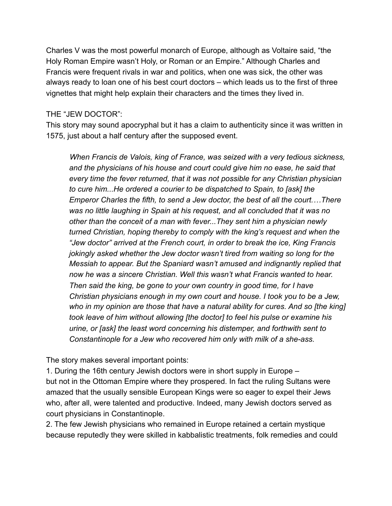Charles V was the most powerful monarch of Europe, although as Voltaire said, "the Holy Roman Empire wasn't Holy, or Roman or an Empire." Although Charles and Francis were frequent rivals in war and politics, when one was sick, the other was always ready to loan one of his best court doctors – which leads us to the first of three vignettes that might help explain their characters and the times they lived in.

## THE "JEW DOCTOR":

This story may sound apocryphal but it has a claim to authenticity since it was written in 1575, just about a half century after the supposed event.

 *When Francis de Valois, king of France, was seized with a very tedious sickness, and the physicians of his house and court could give him no ease, he said that every time the fever returned, that it was not possible for any Christian physician to cure him...He ordered a courier to be dispatched to Spain, to [ask] the Emperor Charles the fifth, to send a Jew doctor, the best of all the court.…There was no little laughing in Spain at his request, and all concluded that it was no other than the conceit of a man with fever...They sent him a physician newly turned Christian, hoping thereby to comply with the king's request and when the "Jew doctor" arrived at the French court, in order to break the ice, King Francis jokingly asked whether the Jew doctor wasn't tired from waiting so long for the Messiah to appear. But the Spaniard wasn't amused and indignantly replied that now he was a sincere Christian. Well this wasn't what Francis wanted to hear. Then said the king, be gone to your own country in good time, for I have Christian physicians enough in my own court and house. I took you to be a Jew,*  who in my opinion are those that have a natural ability for cures. And so [the king] *took leave of him without allowing [the doctor] to feel his pulse or examine his urine, or [ask] the least word concerning his distemper, and forthwith sent to Constantinople for a Jew who recovered him only with milk of a she-ass.*

The story makes several important points:

1. During the 16th century Jewish doctors were in short supply in Europe – but not in the Ottoman Empire where they prospered. In fact the ruling Sultans were amazed that the usually sensible European Kings were so eager to expel their Jews who, after all, were talented and productive. Indeed, many Jewish doctors served as court physicians in Constantinople.

2. The few Jewish physicians who remained in Europe retained a certain mystique because reputedly they were skilled in kabbalistic treatments, folk remedies and could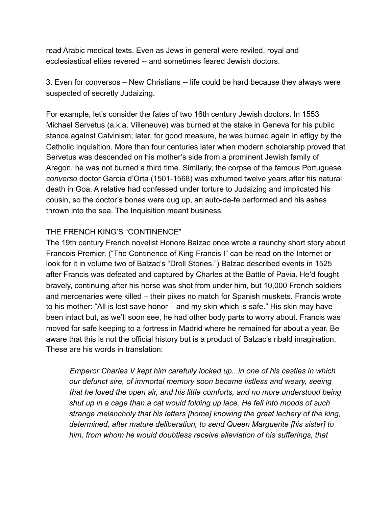read Arabic medical texts. Even as Jews in general were reviled, royal and ecclesiastical elites revered -- and sometimes feared Jewish doctors.

3. Even for conversos – New Christians -- life could be hard because they always were suspected of secretly Judaizing.

For example, let's consider the fates of two 16th century Jewish doctors. In 1553 Michael Servetus (a.k.a. Villeneuve) was burned at the stake in Geneva for his public stance against Calvinism; later, for good measure, he was burned again in effigy by the Catholic Inquisition. More than four centuries later when modern scholarship proved that Servetus was descended on his mother's side from a prominent Jewish family of Aragon, he was not burned a third time. Similarly, the corpse of the famous Portuguese *converso* doctor Garcia d'Orta (1501-1568) was exhumed twelve years after his natural death in Goa. A relative had confessed under torture to Judaizing and implicated his cousin, so the doctor's bones were dug up, an auto-da-fe performed and his ashes thrown into the sea. The Inquisition meant business.

## THE FRENCH KING'S "CONTINENCE"

The 19th century French novelist Honore Balzac once wrote a raunchy short story about Francois Premier. ("The Continence of King Francis I" can be read on the Internet or look for it in volume two of Balzac's "Droll Stories.") Balzac described events in 1525 after Francis was defeated and captured by Charles at the Battle of Pavia. He'd fought bravely, continuing after his horse was shot from under him, but 10,000 French soldiers and mercenaries were killed – their pikes no match for Spanish muskets. Francis wrote to his mother: "All is lost save honor – and my skin which is safe." His skin may have been intact but, as we'll soon see, he had other body parts to worry about. Francis was moved for safe keeping to a fortress in Madrid where he remained for about a year. Be aware that this is not the official history but is a product of Balzac's ribald imagination. These are his words in translation:

 *Emperor Charles V kept him carefully locked up...in one of his castles in which our defunct sire, of immortal memory soon became listless and weary, seeing that he loved the open air, and his little comforts, and no more understood being shut up in a cage than a cat would folding up lace. He fell into moods of such strange melancholy that his letters [home] knowing the great lechery of the king, determined, after mature deliberation, to send Queen Marguerite [his sister] to him, from whom he would doubtless receive alleviation of his sufferings, that*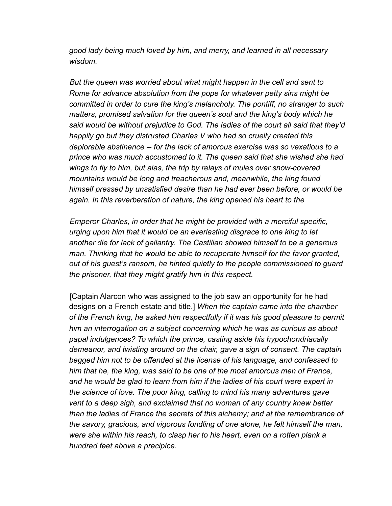*good lady being much loved by him, and merry, and learned in all necessary wisdom.*

 *But the queen was worried about what might happen in the cell and sent to Rome for advance absolution from the pope for whatever petty sins might be committed in order to cure the king's melancholy. The pontiff, no stranger to such matters, promised salvation for the queen's soul and the king's body which he said would be without prejudice to God. The ladies of the court all said that they'd happily go but they distrusted Charles V who had so cruelly created this deplorable abstinence -- for the lack of amorous exercise was so vexatious to a prince who was much accustomed to it. The queen said that she wished she had wings to fly to him, but alas, the trip by relays of mules over snow-covered mountains would be long and treacherous and, meanwhile, the king found himself pressed by unsatisfied desire than he had ever been before, or would be again. In this reverberation of nature, the king opened his heart to the* 

 *Emperor Charles, in order that he might be provided with a merciful specific, urging upon him that it would be an everlasting disgrace to one king to let another die for lack of gallantry. The Castilian showed himself to be a generous man. Thinking that he would be able to recuperate himself for the favor granted, out of his guest's ransom, he hinted quietly to the people commissioned to guard the prisoner, that they might gratify him in this respect.* 

 [Captain Alarcon who was assigned to the job saw an opportunity for he had designs on a French estate and title.] *When the captain came into the chamber of the French king, he asked him respectfully if it was his good pleasure to permit him an interrogation on a subject concerning which he was as curious as about papal indulgences? To which the prince, casting aside his hypochondriacally demeanor, and twisting around on the chair, gave a sign of consent. The captain begged him not to be offended at the license of his language, and confessed to him that he, the king, was said to be one of the most amorous men of France, and he would be glad to learn from him if the ladies of his court were expert in the science of love. The poor king, calling to mind his many adventures gave vent to a deep sigh, and exclaimed that no woman of any country knew better than the ladies of France the secrets of this alchemy; and at the remembrance of the savory, gracious, and vigorous fondling of one alone, he felt himself the man, were she within his reach, to clasp her to his heart, even on a rotten plank a hundred feet above a precipice.*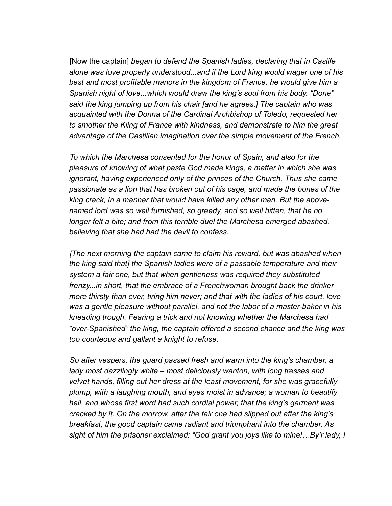[Now the captain] *began to defend the Spanish ladies, declaring that in Castile alone was love properly understood...and if the Lord king would wager one of his*  best and most profitable manors in the kingdom of France, he would give him a *Spanish night of love...which would draw the king's soul from his body. "Done" said the king jumping up from his chair [and he agrees.] The captain who was acquainted with the Donna of the Cardinal Archbishop of Toledo, requested her to smother the Kiing of France with kindness, and demonstrate to him the great advantage of the Castilian imagination over the simple movement of the French.* 

 *To which the Marchesa consented for the honor of Spain, and also for the pleasure of knowing of what paste God made kings, a matter in which she was ignorant, having experienced only of the princes of the Church. Thus she came passionate as a lion that has broken out of his cage, and made the bones of the king crack, in a manner that would have killed any other man. But the abovenamed lord was so well furnished, so greedy, and so well bitten, that he no longer felt a bite; and from this terrible duel the Marchesa emerged abashed, believing that she had had the devil to confess.*

 *[The next morning the captain came to claim his reward, but was abashed when the king said that] the Spanish ladies were of a passable temperature and their system a fair one, but that when gentleness was required they substituted frenzy...in short, that the embrace of a Frenchwoman brought back the drinker more thirsty than ever, tiring him never; and that with the ladies of his court, love was a gentle pleasure without parallel, and not the labor of a master-baker in his kneading trough. Fearing a trick and not knowing whether the Marchesa had "over-Spanished" the king, the captain offered a second chance and the king was too courteous and gallant a knight to refuse.* 

 *So after vespers, the guard passed fresh and warm into the king's chamber, a lady most dazzlingly white – most deliciously wanton, with long tresses and velvet hands, filling out her dress at the least movement, for she was gracefully plump, with a laughing mouth, and eyes moist in advance; a woman to beautify hell, and whose first word had such cordial power, that the king's garment was cracked by it. On the morrow, after the fair one had slipped out after the king's breakfast, the good captain came radiant and triumphant into the chamber. As sight of him the prisoner exclaimed: "God grant you joys like to mine!…By'r lady, I*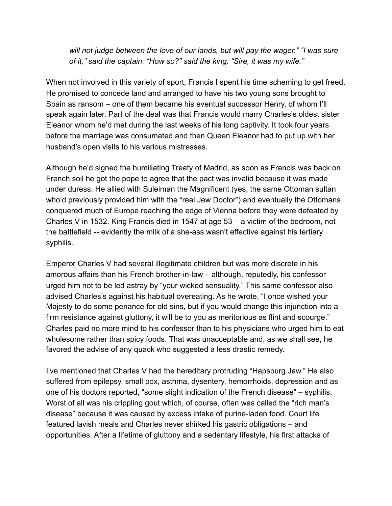*will not judge between the love of our lands, but will pay the wager." "I was sure of it," said the captain. "How so?" said the king. "Sire, it was my wife."* 

When not involved in this variety of sport, Francis I spent his time scheming to get freed. He promised to concede land and arranged to have his two young sons brought to Spain as ransom – one of them became his eventual successor Henry, of whom I'll speak again later. Part of the deal was that Francis would marry Charles's oldest sister Eleanor whom he'd met during the last weeks of his long captivity. It took four years before the marriage was consumated and then Queen Eleanor had to put up with her husband's open visits to his various mistresses.

Although he'd signed the humiliating Treaty of Madrid, as soon as Francis was back on French soil he got the pope to agree that the pact was invalid because it was made under duress. He allied with Suleiman the Magnificent (yes, the same Ottoman sultan who'd previously provided him with the "real Jew Doctor") and eventually the Ottomans conquered much of Europe reaching the edge of Vienna before they were defeated by Charles V in 1532. King Francis died in 1547 at age 53 – a victim of the bedroom, not the battlefield -- evidently the milk of a she-ass wasn't effective against his tertiary syphilis.

Emperor Charles V had several illegitimate children but was more discrete in his amorous affairs than his French brother-in-law – although, reputedly, his confessor urged him not to be led astray by "your wicked sensuality." This same confessor also advised Charles's against his habitual overeating. As he wrote, "I once wished your Majesty to do some penance for old sins, but if you would change this injunction into a firm resistance against gluttony, it will be to you as meritorious as flint and scourge." Charles paid no more mind to his confessor than to his physicians who urged him to eat wholesome rather than spicy foods. That was unacceptable and, as we shall see, he favored the advise of any quack who suggested a less drastic remedy.

I've mentioned that Charles V had the hereditary protruding "Hapsburg Jaw." He also suffered from epilepsy, small pox, asthma, dysentery, hemorrhoids, depression and as one of his doctors reported, "some slight indication of the French disease" – syphilis. Worst of all was his crippling gout which, of course, often was called the "rich man's disease" because it was caused by excess intake of purine-laden food. Court life featured lavish meals and Charles never shirked his gastric obligations – and opportunities. After a lifetime of gluttony and a sedentary lifestyle, his first attacks of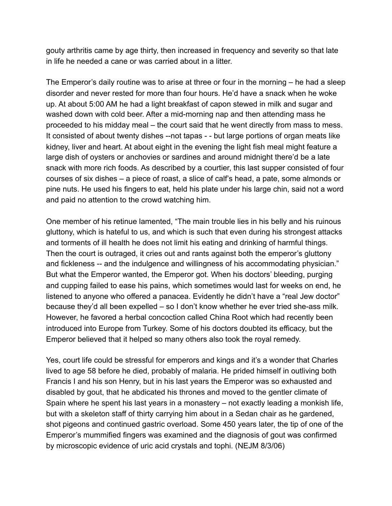gouty arthritis came by age thirty, then increased in frequency and severity so that late in life he needed a cane or was carried about in a litter.

The Emperor's daily routine was to arise at three or four in the morning – he had a sleep disorder and never rested for more than four hours. He'd have a snack when he woke up. At about 5:00 AM he had a light breakfast of capon stewed in milk and sugar and washed down with cold beer. After a mid-morning nap and then attending mass he proceeded to his midday meal – the court said that he went directly from mass to mess. It consisted of about twenty dishes --not tapas - - but large portions of organ meats like kidney, liver and heart. At about eight in the evening the light fish meal might feature a large dish of oysters or anchovies or sardines and around midnight there'd be a late snack with more rich foods. As described by a courtier, this last supper consisted of four courses of six dishes – a piece of roast, a slice of calf's head, a pate, some almonds or pine nuts. He used his fingers to eat, held his plate under his large chin, said not a word and paid no attention to the crowd watching him.

One member of his retinue lamented, "The main trouble lies in his belly and his ruinous gluttony, which is hateful to us, and which is such that even during his strongest attacks and torments of ill health he does not limit his eating and drinking of harmful things. Then the court is outraged, it cries out and rants against both the emperor's gluttony and fickleness -- and the indulgence and willingness of his accommodating physician." But what the Emperor wanted, the Emperor got. When his doctors' bleeding, purging and cupping failed to ease his pains, which sometimes would last for weeks on end, he listened to anyone who offered a panacea. Evidently he didn't have a "real Jew doctor" because they'd all been expelled – so I don't know whether he ever tried she-ass milk. However, he favored a herbal concoction called China Root which had recently been introduced into Europe from Turkey. Some of his doctors doubted its efficacy, but the Emperor believed that it helped so many others also took the royal remedy.

Yes, court life could be stressful for emperors and kings and it's a wonder that Charles lived to age 58 before he died, probably of malaria. He prided himself in outliving both Francis I and his son Henry, but in his last years the Emperor was so exhausted and disabled by gout, that he abdicated his thrones and moved to the gentler climate of Spain where he spent his last years in a monastery – not exactly leading a monkish life, but with a skeleton staff of thirty carrying him about in a Sedan chair as he gardened, shot pigeons and continued gastric overload. Some 450 years later, the tip of one of the Emperor's mummified fingers was examined and the diagnosis of gout was confirmed by microscopic evidence of uric acid crystals and tophi. (NEJM 8/3/06)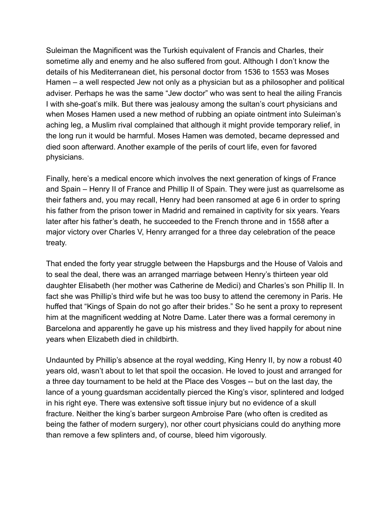Suleiman the Magnificent was the Turkish equivalent of Francis and Charles, their sometime ally and enemy and he also suffered from gout. Although I don't know the details of his Mediterranean diet, his personal doctor from 1536 to 1553 was Moses Hamen – a well respected Jew not only as a physician but as a philosopher and political adviser. Perhaps he was the same "Jew doctor" who was sent to heal the ailing Francis I with she-goat's milk. But there was jealousy among the sultan's court physicians and when Moses Hamen used a new method of rubbing an opiate ointment into Suleiman's aching leg, a Muslim rival complained that although it might provide temporary relief, in the long run it would be harmful. Moses Hamen was demoted, became depressed and died soon afterward. Another example of the perils of court life, even for favored physicians.

Finally, here's a medical encore which involves the next generation of kings of France and Spain – Henry II of France and Phillip II of Spain. They were just as quarrelsome as their fathers and, you may recall, Henry had been ransomed at age 6 in order to spring his father from the prison tower in Madrid and remained in captivity for six years. Years later after his father's death, he succeeded to the French throne and in 1558 after a major victory over Charles V, Henry arranged for a three day celebration of the peace treaty.

That ended the forty year struggle between the Hapsburgs and the House of Valois and to seal the deal, there was an arranged marriage between Henry's thirteen year old daughter Elisabeth (her mother was Catherine de Medici) and Charles's son Phillip II. In fact she was Phillip's third wife but he was too busy to attend the ceremony in Paris. He huffed that "Kings of Spain do not go after their brides." So he sent a proxy to represent him at the magnificent wedding at Notre Dame. Later there was a formal ceremony in Barcelona and apparently he gave up his mistress and they lived happily for about nine years when Elizabeth died in childbirth.

Undaunted by Phillip's absence at the royal wedding, King Henry II, by now a robust 40 years old, wasn't about to let that spoil the occasion. He loved to joust and arranged for a three day tournament to be held at the Place des Vosges -- but on the last day, the lance of a young guardsman accidentally pierced the King's visor, splintered and lodged in his right eye. There was extensive soft tissue injury but no evidence of a skull fracture. Neither the king's barber surgeon Ambroise Pare (who often is credited as being the father of modern surgery), nor other court physicians could do anything more than remove a few splinters and, of course, bleed him vigorously.